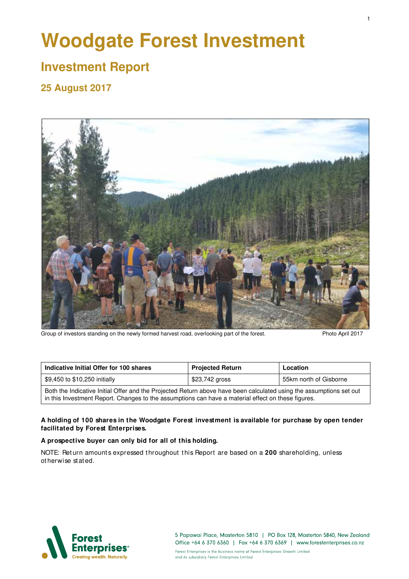# **Woodgate Forest Investment**

## **Investment Report**

## **25 August 2017**



Group of investors standing on the newly formed harvest road, overlooking part of the forest. Photo April 2017

| Indicative Initial Offer for 100 shares                                                                                                                                                                                   | <b>Projected Return</b> |                        |  |  |
|---------------------------------------------------------------------------------------------------------------------------------------------------------------------------------------------------------------------------|-------------------------|------------------------|--|--|
| \$9,450 to \$10,250 initially                                                                                                                                                                                             | \$23,742 gross          | 55km north of Gisborne |  |  |
| Both the Indicative Initial Offer and the Projected Return above have been calculated using the assumptions set out<br>in this Investment Report. Changes to the assumptions can have a material effect on these figures. |                         |                        |  |  |

#### **A holding of 100 shares in the Woodgate Forest investment is available for purchase by open tender facilitated by Forest Enterprises.**

#### **A prospective buyer can only bid for all of this holding.**

NOTE: Return amounts expressed throughout this Report are based on a 200 shareholding, unless ot herwise stat ed.



5 Papawai Place, Masterton 5810 | PO Box 128, Masterton 5840, New Zealand Office +64 6 370 6360 | Fax +64 6 370 6369 | www.forestenterprises.co.nz

Forest Enterprises is the business name of Forest Enterprises Growth Limited and its subsidiary Forest Enterprises Limited.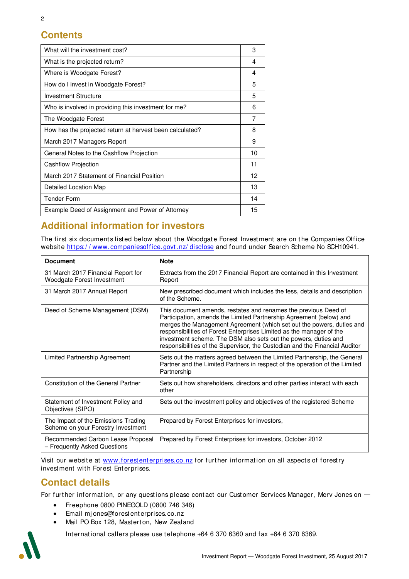## **Contents**

| What will the investment cost?                           | 3  |
|----------------------------------------------------------|----|
| What is the projected return?                            | 4  |
| Where is Woodgate Forest?                                | 4  |
| How do I invest in Woodgate Forest?                      | 5  |
| <b>Investment Structure</b>                              | 5  |
| Who is involved in providing this investment for me?     | 6  |
| The Woodgate Forest                                      | 7  |
| How has the projected return at harvest been calculated? | 8  |
| March 2017 Managers Report                               | 9  |
| General Notes to the Cashflow Projection                 | 10 |
| Cashflow Projection                                      | 11 |
| March 2017 Statement of Financial Position               | 12 |
| Detailed Location Map                                    | 13 |
| <b>Tender Form</b>                                       | 14 |
| Example Deed of Assignment and Power of Attorney         | 15 |
|                                                          |    |

## **Additional information for investors**

The first six documents listed below about the Woodgate Forest Investment are on the Companies Office website https://www.companiesoffice.govt.nz/disclose and found under Search Scheme No SCH10941.

| <b>Document</b>                                                           | <b>Note</b>                                                                                                                                                                                                                                                                                                                                                                                                                               |
|---------------------------------------------------------------------------|-------------------------------------------------------------------------------------------------------------------------------------------------------------------------------------------------------------------------------------------------------------------------------------------------------------------------------------------------------------------------------------------------------------------------------------------|
| 31 March 2017 Financial Report for<br>Woodgate Forest Investment          | Extracts from the 2017 Financial Report are contained in this Investment<br>Report                                                                                                                                                                                                                                                                                                                                                        |
| 31 March 2017 Annual Report                                               | New prescribed document which includes the fess, details and description<br>of the Scheme.                                                                                                                                                                                                                                                                                                                                                |
| Deed of Scheme Management (DSM)                                           | This document amends, restates and renames the previous Deed of<br>Participation, amends the Limited Partnership Agreement (below) and<br>merges the Management Agreement (which set out the powers, duties and<br>responsibilities of Forest Enterprises Limited as the manager of the<br>investment scheme. The DSM also sets out the powers, duties and<br>responsibilities of the Supervisor, the Custodian and the Financial Auditor |
| Limited Partnership Agreement                                             | Sets out the matters agreed between the Limited Partnership, the General<br>Partner and the Limited Partners in respect of the operation of the Limited<br>Partnership                                                                                                                                                                                                                                                                    |
| <b>Constitution of the General Partner</b>                                | Sets out how shareholders, directors and other parties interact with each<br>other                                                                                                                                                                                                                                                                                                                                                        |
| Statement of Investment Policy and<br>Objectives (SIPO)                   | Sets out the investment policy and objectives of the registered Scheme                                                                                                                                                                                                                                                                                                                                                                    |
| The Impact of the Emissions Trading<br>Scheme on your Forestry Investment | Prepared by Forest Enterprises for investors,                                                                                                                                                                                                                                                                                                                                                                                             |
| Recommended Carbon Lease Proposal<br>- Frequently Asked Questions         | Prepared by Forest Enterprises for investors, October 2012                                                                                                                                                                                                                                                                                                                                                                                |

Visit our website at www.forestenterprises.co.nz for further information on all aspects of forestry investment with Forest Enterprises.

## **Contact details**

For further information, or any questions please contact our Customer Services Manager, Merv Jones on

- Freephone 0800 PINEGOLD (0800 746 346)
- Email mj ones@forest ent erprises.co.nz
- Mail PO Box 128, Masterton, New Zealand

Int ernat ional callers please use t elephone +64 6 370 6360 and fax +64 6 370 6369.

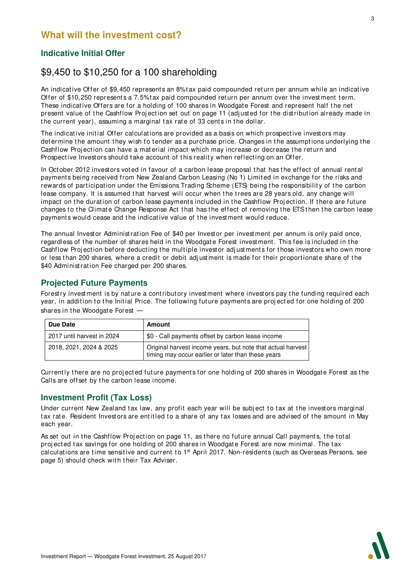## **Indicative Initial Offer**

## \$9,450 to \$10,250 for a 100 shareholding

An indicative Offer of \$9,450 represents an 8% tax paid compounded return per annum while an indicative Offer of \$10,250 represents a 7.5% tax paid compounded return per annum over the investment term. These indicative Offers are for a holding of 100 shares in Woodgate Forest and represent half the net present value of the Cashflow Projection set out on page 11 (adjusted for the distribution already made in the current year), assuming a marginal tax rate of 33 cents in the dollar.

The indicative initial Offer calculations are provided as a basis on which prospective investors may determine the amount they wish to tender as a purchase price. Changes in the assumptions underlying the Cashflow Projection can have a material impact which may increase or decrease the return and Prospective Investors should take account of this reality when reflecting on an Offer.

In October 2012 investors voted in favour of a carbon lease proposal that has the effect of annual rental payments being received from New Zealand Carbon Leasing (No 1) Limit ed in exchange for t he risks and rewards of participation under the Emissions Trading Scheme (ETS) being the responsibility of the carbon lease company. It is assumed that harvest will occur when the trees are 28 years old, any change will impact on the duration of carbon lease payments included in the Cashflow Projection. If there are future changes to the Climate Change Response Act that has the effect of removing the ETS then the carbon lease payments would cease and the indicative value of the investment would reduce.

The annual Investor Administration Fee of \$40 per Investor per investment per annum is only paid once, regardless of the number of shares held in the Woodgate Forest investment. This fee is included in the Cashflow Projection before deducting the multiple investor adjustments for those investors who own more or less than 200 shares, where a credit or debit adjustment is made for their proportionate share of the \$40 Administ ration Fee charged per 200 shares.

## **Projected Future Payments**

Forestry investment is by nature a contributory investment where investors pay the funding required each year, in addition to the Initial Price. The following future payments are projected for one holding of 200 shares in the Woodgate Forest

| Due Date                   | Amount                                                                                                            |
|----------------------------|-------------------------------------------------------------------------------------------------------------------|
| 2017 until harvest in 2024 | \$0 - Call payments offset by carbon lease income                                                                 |
| 2018, 2021, 2024 & 2025    | Original harvest income years, but note that actual harvest<br>timing may occur earlier or later than these years |

Currently there are no projected future payments for one holding of 200 shares in Woodgate Forest as the Calls are offset by the carbon lease income.

## **Investment Profit (Tax Loss)**

Under current New Zealand tax law, any profit each year will be subject to tax at the investors marginal tax rate. Resident Investors are entitled to a share of any tax losses and are advised of the amount in May each year.

As set out in the Cashflow Projection on page 11, as there no future annual Call payments, the total projected tax savings for one holding of 200 shares in Woodgate Forest are now minimal. The tax calculations are time sensitive and current to 1<sup>st</sup> April 2017. Non-residents (such as Overseas Persons, see page 5) should check with their Tax Adviser.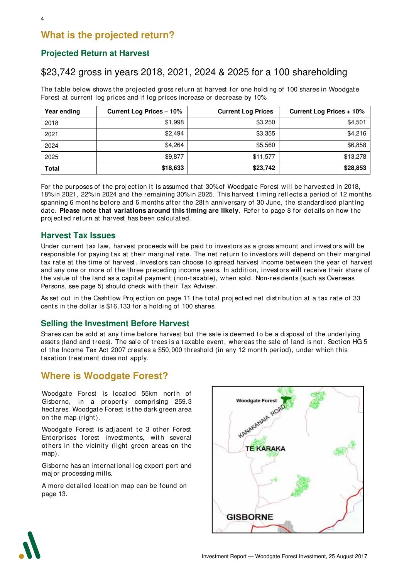## **What is the projected return?**

## **Projected Return at Harvest**

## \$23,742 gross in years 2018, 2021, 2024 & 2025 for a 100 shareholding

The table below shows the projected gross return at harvest for one holding of 100 shares in Woodgate Forest at current log prices and if log prices increase or decrease by 10%.

| Year ending  | <b>Current Log Prices - 10%</b> | <b>Current Log Prices</b> | Current Log Prices + 10% |
|--------------|---------------------------------|---------------------------|--------------------------|
| 2018         | \$1,998                         | \$3,250                   | \$4,501                  |
| 2021         | \$2.494                         | \$3,355                   | \$4,216                  |
| 2024         | \$4,264                         | \$5,560                   | \$6,858                  |
| 2025         | \$9,877                         | \$11,577                  | \$13,278                 |
| <b>Total</b> | \$18,633                        | \$23,742                  | \$28,853                 |

For the purposes of the projection it is assumed that 30% of Woodgate Forest will be harvested in 2018, 18% in 2021, 22% in 2024 and the remaining 30% in 2025. This harvest timing reflects a period of 12 months spanning 6 months before and 6 months after the 28th anniversary of 30 June, the standardised planting date. **Please note that variations around this timing are likely**. Refer to page 8 for details on how the proj ect ed return at harvest has been calculat ed.

#### **Harvest Tax Issues**

Under current tax law, harvest proceeds will be paid to investors as a gross amount and investors will be responsible for paying tax at their marginal rate. The net return to investors will depend on their marginal tax rate at the time of harvest. Investors can choose to spread harvest income between the year of harvest and any one or more of the three preceding income years. In addition, investors will receive their share of the value of the land as a capital payment (non-taxable), when sold. Non-residents (such as Overseas Persons, see page 5) should check with their Tax Adviser.

As set out in the Cashflow Projection on page 11 the total projected net distribution at a tax rate of 33 cents in the dollar is \$16,133 for a holding of 100 shares.

#### **Selling the Investment Before Harvest**

Shares can be sold at any time before harvest but the sale is deemed to be a disposal of the underlying assets (land and trees). The sale of trees is a taxable event, whereas the sale of land is not. Section HG 5 of the Income Tax Act 2007 creates a \$50,000 threshold (in any 12 month period), under which this taxation treatment does not apply.

## **Where is Woodgate Forest?**

Woodgate Forest is located 55km north of Gisborne, in a property comprising 259.3 hect ares. Woodgate Forest is t he dark green area on the map (right).

Woodgate Forest is adjacent to 3 other Forest Enterprises forest investments, with several others in the vicinity (light green areas on the map).

Gisborne has an int ernat ional log export port and maj or processing mills.

A more det ailed locat ion map can be found on page 13.



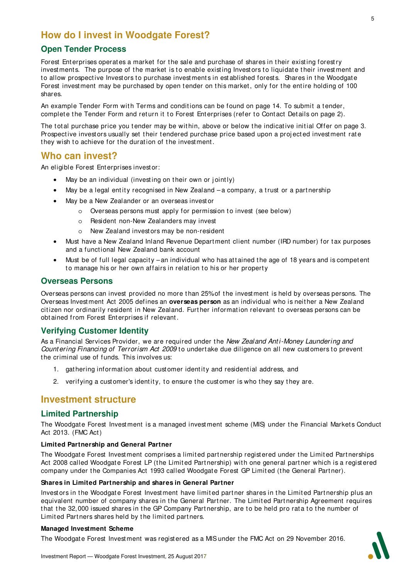## **How do I invest in Woodgate Forest?**

#### **Open Tender Process**

Forest Enterprises operates a market for the sale and purchase of shares in their existing forestry investments. The purpose of the market is to enable existing Investors to liquidate their investment and to allow prospective Investors to purchase investments in est ablished forests. Shares in the Woodgate Forest investment may be purchased by open tender on this market, only for the entire holding of 100 shares.

An example Tender Form with Terms and conditions can be found on page 14. To submit a tender, complete the Tender Form and return it to Forest Enterprises (refer to Contact Details on page 2).

The total purchase price you tender may be within, above or below the indicative initial Offer on page 3. Prospective investors usually set their tendered purchase price based upon a projected investment rate they wish to achieve for the duration of the investment.

## **Who can invest?**

An eligible Forest Ent erprises invest or:

- May be an individual (investing on their own or jointly)
- May be a legal entity recognised in New Zealand  $-a$  company, a trust or a partnership
- May be a New Zealander or an overseas invest or
	- o Overseas persons must apply for permission to invest (see below)
	- o Resident non-New Zealanders may invest
	- o New Zealand investors may be non-resident
- Must have a New Zealand Inland Revenue Department client number (IRD number) for tax purposes and a functional New Zealand bank account
- Must be of full legal capacity an individual who has attained the age of 18 years and is competent to manage his or her own affairs in relation to his or her property

#### **Overseas Persons**

Overseas persons can invest provided no more than 25% of the investment is held by overseas persons. The Overseas Invest ment Act 2005 defines an **overseas person** as an individual who is neit her a New Zealand citizen nor ordinarily resident in New Zealand. Further information relevant to overseas persons can be obt ained from Forest Enterprises if relevant .

## **Verifying Customer Identity**

As a Financial Services Provider, we are required under the New Zealand Anti-Money Laundering and Countering Financing of Terrorism Act 2009 to undertake due diligence on all new customers to prevent t he criminal use of funds. This involves us:

- 1. gathering information about customer identity and residential address, and
- 2. verifying a customer's identity, to ensure the customer is who they say they are.

## **Investment structure**

#### **Limited Partnership**

The Woodgate Forest Investment is a managed investment scheme (MIS) under the Financial Markets Conduct Act 2013. (FMC Act )

#### **Limited Partnership and General Partner**

The Woodgate Forest Investment comprises a limited partnership registered under the Limited Partnerships Act 2008 called Woodgate Forest LP (the Limited Partnership) with one general partner which is a registered company under the Companies Act 1993 called Woodgate Forest GP Limited (the General Partner).

#### **Shares in Limited Partnership and shares in General Partner**

Investors in the Woodgate Forest Investment have limited partner shares in the Limited Partnership plus an equivalent number of company shares in the General Partner. The Limited Partnership Agreement requires that the 32,000 issued shares in the GP Company Partnership, are to be held pro rata to the number of Limit ed Part ners shares held by t he limit ed part ners.

#### **Managed Investment Scheme**

The Woodgate Forest Invest ment was regist ered as a MIS under t he FMC Act on 29 November 2016.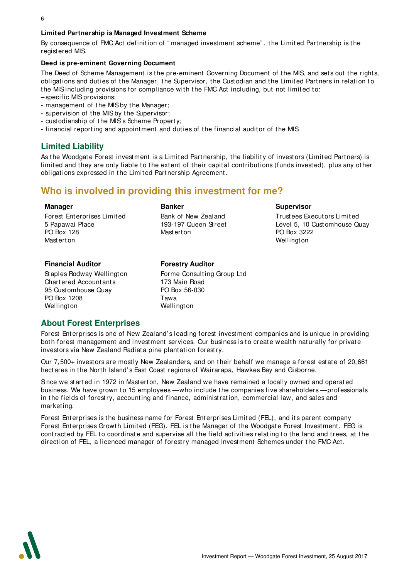#### **Limited Partnership is Managed Investment Scheme**

By consequence of FMC Act definition of " managed investment scheme" , t he Limit ed Part nership is t he regist ered MIS.

#### **Deed is pre-eminent Governing Document**

The Deed of Scheme Management is the pre-eminent Governing Document of the MIS, and sets out the rights, obligations and duties of the Manager, the Supervisor, the Custodian and the Limited Partners in relation to the MIS including provisions for compliance with the FMC Act including, but not limited to:

- specific MIS provisions;
- management of the MIS by the Manager;
- supervision of t he MIS by t he Supervisor;
- cust odianship of the MIS's Scheme Property;
- financial reporting and appointment and duties of the financial auditor of the MIS.

#### **Limited Liability**

As the Woodgate Forest investment is a Limited Partnership, the liability of investors (Limited Partners) is limited and they are only liable to the extent of their capital contributions (funds invested), plus any other obligations expressed in the Limited Partnership Agreement.

## **Who is involved in providing this investment for me?**

#### **Manager**

Forest Ent erprises Limit ed 5 Papawai Place PO Box 128 Mast ert on

#### **Banker**

Bank of New Zealand 193-197 Queen St reet Mast ert on

#### **Supervisor**

Trust ees Execut ors Limit ed Level 5, 10 Cust omhouse Quay PO Box 3222 Wellingt on

#### **Financial Auditor**

St aples Rodway Wellingt on Chart ered Account ants 95 Cust omhouse Quay PO Box 1208 **Wellington** 

#### **Forestry Auditor**

Forme Consulting Group Ltd 173 Main Road PO Box 56-030 Tawa **Wellington** 

#### **About Forest Enterprises**

Forest Enterprises is one of New Zealand's leading forest investment companies and is unique in providing both forest management and investment services. Our business is to create wealth naturally for private investors via New Zealand Radiata pine plantation forestry.

Our 7,500+ investors are mostly New Zealanders, and on their behalf we manage a forest estate of 20,661 hect ares in the North Island's East Coast regions of Wairarapa, Hawkes Bay and Gisborne.

Since we started in 1972 in Masterton, New Zealand we have remained a locally owned and operated business. We have grown to 15 employees — who include the companies five shareholders — professionals in the fields of forestry, accounting and finance, administration, commercial law, and sales and marketing.

Forest Enterprises is the business name for Forest Enterprises Limited (FEL), and its parent company Forest Enterprises Growth Limited (FEG). FEL is the Manager of the Woodgate Forest Investment. FEG is contracted by FEL to coordinate and supervise all the field activities relating to the land and trees, at the direction of FEL, a licenced manager of forestry managed Investment Schemes under the FMC Act.

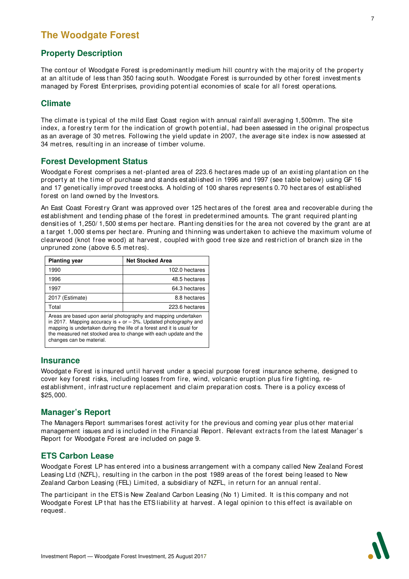## **The Woodgate Forest**

## **Property Description**

The contour of Woodgate Forest is predominantly medium hill country with the majority of the property at an altitude of less than 350 facing south. Woodgate Forest is surrounded by other forest investments managed by Forest Enterprises, providing potential economies of scale for all forest operations.

## **Climate**

The climate is typical of the mild East Coast region with annual rainfall averaging 1,500mm. The site index, a forestry term for the indication of growth potential, had been assessed in the original prospectus as an average of 30 metres. Following the yield update in 2007, the average site index is now assessed at 34 metres, resulting in an increase of timber volume.

#### **Forest Development Status**

Woodgate Forest comprises a net-planted area of 223.6 hectares made up of an existing plantation on the property at the time of purchase and stands established in 1996 and 1997 (see table below) using GF 16 and 17 genetically improved treestocks. A holding of 100 shares represents 0.70 hectares of established forest on land owned by the Investors.

An East Coast Forestry Grant was approved over 125 hectares of the forest area and recoverable during the est ablishment and tending phase of the forest in predetermined amounts. The grant required planting densities of 1,250/1,500 stems per hectare. Planting densities for the area not covered by the grant are at a target 1,000 stems per hectare. Pruning and thinning was undertaken to achieve the maximum volume of clearwood (knot free wood) at harvest, coupled with good tree size and restriction of branch size in the unpruned zone (above 6.5 met res).

| <b>Planting year</b>                                                                                                                                                                                                                                                                                            | <b>Net Stocked Area</b> |  |  |
|-----------------------------------------------------------------------------------------------------------------------------------------------------------------------------------------------------------------------------------------------------------------------------------------------------------------|-------------------------|--|--|
| 1990                                                                                                                                                                                                                                                                                                            | 102.0 hectares          |  |  |
| 1996                                                                                                                                                                                                                                                                                                            | 48.5 hectares           |  |  |
| 1997                                                                                                                                                                                                                                                                                                            | 64.3 hectares           |  |  |
| 2017 (Estimate)                                                                                                                                                                                                                                                                                                 | 8.8 hectares            |  |  |
| Total                                                                                                                                                                                                                                                                                                           | 223.6 hectares          |  |  |
| Areas are based upon aerial photography and mapping undertaken<br>in 2017. Mapping accuracy is $+$ or $-3\%$ . Updated photography and<br>mapping is undertaken during the life of a forest and it is usual for<br>the measured net stocked area to change with each update and the<br>changes can be material. |                         |  |  |

#### **Insurance**

Woodgate Forest is insured until harvest under a special purpose forest insurance scheme, designed to cover key forest risks, including losses from fire, wind, volcanic eruption plus fire fighting, reest ablishment, infrast ructure replacement and claim preparation costs. There is a policy excess of \$25,000.

## **Manager's Report**

The Managers Report summarises forest activity for the previous and coming year plus other material management issues and is included in the Financial Report. Relevant extracts from the latest Manager's Report for Woodgat e Forest are included on page 9.

#### **ETS Carbon Lease**

Woodgate Forest LP has entered into a business arrangement with a company called New Zealand Forest Leasing Ltd (NZFL), resulting in the carbon in the post 1989 areas of the forest being leased to New Zealand Carbon Leasing (FEL) Limited, a subsidiary of NZFL, in return for an annual rental.

The participant in the ETS is New Zealand Carbon Leasing (No 1) Limited. It is this company and not Woodgate Forest LP that has the ETS liability at harvest. A legal opinion to this effect is available on request .

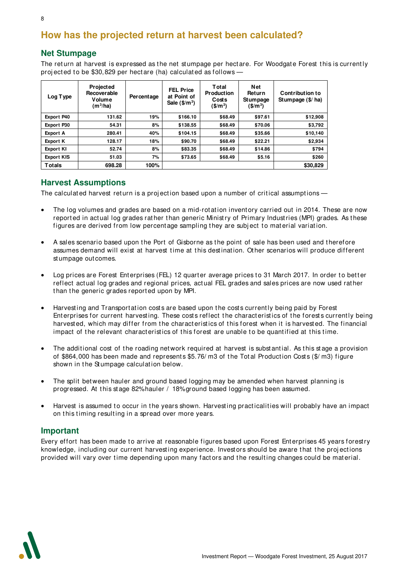## **How has the projected return at harvest been calculated?**

## **Net Stumpage**

The return at harvest is expressed as the net stumpage per hectare. For Woodgate Forest this is currently projected to be \$30,829 per hectare (ha) calculated as follows -

| Log Type          | Projected<br>Recoverable<br>Volume<br>$(m^3/ha)$ | Percentage | <b>FEL Price</b><br>at Point of<br>Sale $($/m^3)$ | Total<br><b>Production</b><br>Costs<br>$($/m^3)$ | <b>Net</b><br>Return<br>Stumpage<br>$(S/m^3)$ | Contribution to<br>Stumpage $($/$ ha) |
|-------------------|--------------------------------------------------|------------|---------------------------------------------------|--------------------------------------------------|-----------------------------------------------|---------------------------------------|
| <b>Export P40</b> | 131.62                                           | 19%        | \$166.10                                          | \$68.49                                          | \$97.61                                       | \$12,908                              |
| Export P30        | 54.31                                            | 8%         | \$138.55                                          | \$68.49                                          | \$70.06                                       | \$3,792                               |
| <b>Export A</b>   | 280.41                                           | 40%        | \$104.15                                          | \$68.49                                          | \$35.66                                       | \$10,140                              |
| <b>Export K</b>   | 128.17                                           | 18%        | \$90.70                                           | \$68.49                                          | \$22.21                                       | \$2,934                               |
| <b>Export KI</b>  | 52.74                                            | 8%         | \$83.35                                           | \$68.49                                          | \$14.86                                       | \$794                                 |
| <b>Export KIS</b> | 51.03                                            | 7%         | \$73.65                                           | \$68.49                                          | \$5.16                                        | \$260                                 |
| <b>Totals</b>     | 698.28                                           | 100%       |                                                   |                                                  |                                               | \$30,829                              |

#### **Harvest Assumptions**

The calculated harvest return is a projection based upon a number of critical assumptions —

- The log volumes and grades are based on a mid-rotation inventory carried out in 2014. These are now reported in actual log grades rather than generic Ministry of Primary Industries (MPI) grades. As these figures are derived from low percentage sampling they are subject to material variation.
- A sales scenario based upon t he Port of Gisborne as the point of sale has been used and t herefore assumes demand will exist at harvest time at this destination. Other scenarios will produce different st umpage outcomes.
- Log prices are Forest Enterprises (FEL) 12 quarter average prices to 31 March 2017. In order to better reflect act ual log grades and regional prices, act ual FEL grades and sales prices are now used rat her than the generic grades reported upon by MPI.
- Harvesting and Transportation costs are based upon the costs currently being paid by Forest Enterprises for current harvesting. These costs reflect the characteristics of the forests currently being harvested, which may differ from the characteristics of this forest when it is harvested. The financial impact of the relevant characteristics of this forest are unable to be quantified at this time.
- The additional cost of the roading network required at harvest is substantial. As this stage a provision of \$864,000 has been made and represents \$5.76/m3 of the Total Production Costs (\$/m3) figure shown in the Stumpage calculation below.
- The split between hauler and ground based logging may be amended when harvest planning is progressed. At t his st age 82% hauler / 18% ground based logging has been assumed.
- Harvest is assumed to occur in the years shown. Harvesting practicalities will probably have an impact on this timing resulting in a spread over more years.

#### **Important**

Every effort has been made to arrive at reasonable figures based upon Forest Enterprises 45 years forestry knowledge, including our current harvesting experience. Investors should be aware that the projections provided will vary over time depending upon many factors and the resulting changes could be material.

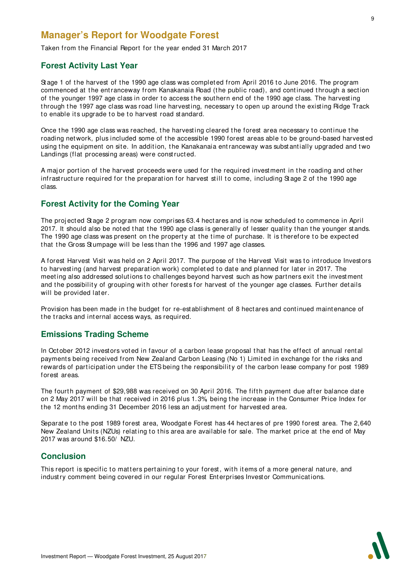## **Manager's Report for Woodgate Forest**

Taken from the Financial Report for the year ended 31 March 2017

#### **Forest Activity Last Year**

Stage 1 of the harvest of the 1990 age class was completed from April 2016 to June 2016. The program commenced at the entranceway from Kanakanaia Road (the public road), and continued through a section of the younger 1997 age class in order to access the southern end of the 1990 age class. The harvesting through the 1997 age class was road line harvesting, necessary to open up around the existing Ridge Track to enable its upgrade to be to harvest road standard.

Once the 1990 age class was reached, the harvesting cleared the forest area necessary to continue the roading network, plus included some of the accessible 1990 forest areas able to be ground-based harvested using the equipment on site. In addition, the Kanakanaia entranceway was substantially upgraded and two Landings (flat processing areas) were const ruct ed.

A major portion of the harvest proceeds were used for the required investment in the roading and other infrast ructure required for the preparation for harvest still to come, including Stage 2 of the 1990 age class.

## **Forest Activity for the Coming Year**

The projected Stage 2 program now comprises 63.4 hectares and is now scheduled to commence in April 2017. It should also be noted that the 1990 age class is generally of lesser quality than the younger stands. The 1990 age class was present on the property at the time of purchase. It is therefore to be expected that the Gross Stumpage will be less than the 1996 and 1997 age classes.

A forest Harvest Visit was held on 2 April 2017. The purpose of the Harvest Visit was to introduce Investors to harvesting (and harvest preparation work) completed to date and planned for later in 2017. The meeting also addressed solutions to challenges beyond harvest such as how partners exit the investment and the possibility of grouping with other forests for harvest of the younger age classes. Further details will be provided later.

Provision has been made in the budget for re-establishment of 8 hectares and continued maintenance of the tracks and internal access ways, as required.

## **Emissions Trading Scheme**

In October 2012 investors voted in favour of a carbon lease proposal that has the effect of annual rental payments being received from New Zealand Carbon Leasing (No 1) Limit ed in exchange for t he risks and rewards of participation under the ETS being the responsibility of the carbon lease company for post 1989 forest areas.

The fourth payment of \$29,988 was received on 30 April 2016. The fifth payment due after balance date on 2 May 2017 will be that received in 2016 plus 1.3% being the increase in the Consumer Price Index for t he 12 mont hs ending 31 December 2016 less an adj ust ment for harvest ed area.

Separate to the post 1989 forest area, Woodgate Forest has 44 hectares of pre 1990 forest area. The 2,640 New Zealand Units (NZUs) relating to this area are available for sale. The market price at the end of May 2017 was around \$16.50/ NZU.

## **Conclusion**

This report is specific to matters pertaining to your forest, with items of a more general nature, and industry comment being covered in our regular Forest Enterprises Investor Communications.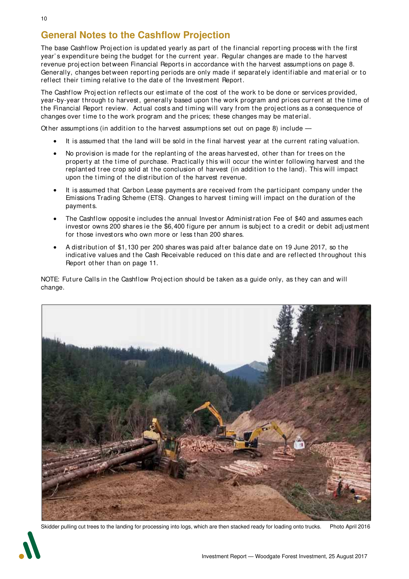## **General Notes to the Cashflow Projection**

The base Cashflow Projection is updated yearly as part of the financial reporting process with the first year's expenditure being the budget for the current year. Regular changes are made to the harvest revenue projection between Financial Reports in accordance with the harvest assumptions on page 8. Generally, changes between reporting periods are only made if separately identifiable and material or to reflect their timing relative to the date of the Investment Report.

The Cashflow Projection reflects our estimate of the cost of the work to be done or services provided, year-by-year through to harvest, generally based upon the work program and prices current at the time of the Financial Report review. Actual costs and timing will vary from the projections as a consequence of changes over time to the work program and the prices; these changes may be material.

Other assumptions (in addition to the harvest assumptions set out on page 8) include  $-$ 

- It is assumed that the land will be sold in the final harvest year at the current rating valuation.
- No provision is made for the replanting of the areas harvested, other than for trees on the property at the time of purchase. Practically this will occur the winter following harvest and the replanted tree crop sold at the conclusion of harvest (in addition to the land). This will impact upon the timing of the distribution of the harvest revenue.
- It is assumed that Carbon Lease payments are received from the participant company under the Emissions Trading Scheme (ETS). Changes to harvest timing will impact on the duration of the payments.
- The Cashflow opposite includes the annual Investor Administration Fee of \$40 and assumes each investor owns 200 shares ie the \$6,400 figure per annum is subject to a credit or debit adjustment for those investors who own more or less than 200 shares.
- A distribution of \$1,130 per 200 shares was paid after balance date on 19 June 2017, so the indicative values and the Cash Receivable reduced on this date and are reflected throughout this Report other than on page 11.

NOTE: Future Calls in the Cashflow Projection should be taken as a guide only, as they can and will change.



Skidder pulling cut trees to the landing for processing into logs, which are then stacked ready for loading onto trucks. Photo April 2016

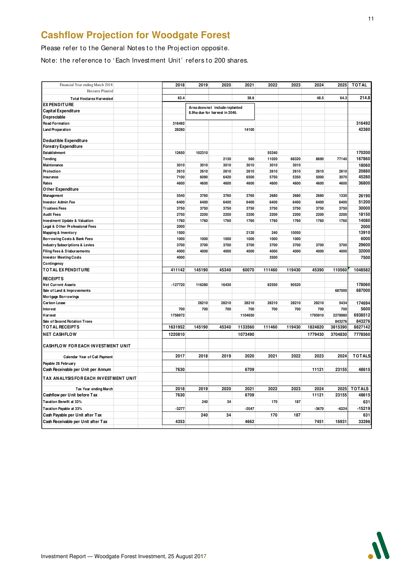## **Cashflow Projection for Woodgate Forest**

Please refer to the General Notes to the Projection opposite.

Note: the reference to 'Each Investment Unit' refers to 200 shares.

| Financial Year ending March 2018           | 2018      | 2019   | 2020                            | 2021    | 2022   | 2023   | 2024    | 2025    | <b>TOTAL</b>  |
|--------------------------------------------|-----------|--------|---------------------------------|---------|--------|--------|---------|---------|---------------|
| <b>Hectares Planted</b>                    |           |        |                                 |         |        |        |         |         |               |
|                                            |           |        |                                 |         |        |        |         |         | 214.8         |
| <b>Total Hectares Harvested</b>            | 63.4      |        |                                 | 38.6    |        |        | 48.5    | 64.3    |               |
| <b>EX PENDITURE</b>                        |           |        | Area does not include replanted |         |        |        |         |         |               |
| Capital Expenditure                        |           |        | 8.9ha due for harvest in 2046.  |         |        |        |         |         |               |
| Depreciable                                |           |        |                                 |         |        |        |         |         |               |
| Road Formation                             | 316492    |        |                                 |         |        |        |         |         | 316492        |
| Land Preparation                           | 28280     |        |                                 | 14100   |        |        |         |         | 42380         |
| Deductible Expenditure                     |           |        |                                 |         |        |        |         |         |               |
| <b>Forestry Expenditure</b>                |           |        |                                 |         |        |        |         |         |               |
| Establishment                              | 12650     | 102310 |                                 |         | 55240  |        |         |         | 170200        |
| Tending                                    |           |        | 2130                            | 560     | 11020  | 68320  | 8690    | 77140   | 167860        |
| Maintenance                                | 3010      | 3010   | 3010                            | 3010    | 3010   | 3010   |         |         | 18060         |
| Protection                                 | 2610      | 2610   | 2610                            | 2610    | 2610   | 2610   | 2610    | 2610    | 20880         |
| Insurance                                  | 7100      | 6090   | 6420                            | 6500    | 5750   | 5350   | 5000    | 3070    | 45280         |
| Rates                                      | 4600      | 4600   | 4600                            | 4600    | 4600   | 4600   | 4600    | 4600    | 36800         |
| Other Expenditure                          |           |        |                                 |         |        |        |         |         |               |
| Management                                 | 5540      | 3760   | 3760                            | 3760    | 2680   | 2680   | 2680    | 1330    | 26190         |
| <b>Investor Admin Fee</b>                  | 6400      | 6400   | 6400                            | 6400    | 6400   | 6400   | 6400    | 6400    | 51200         |
| <b>Trustees Fees</b>                       | 3750      | 3750   | 3750                            | 3750    | 3750   | 3750   | 3750    | 3750    | 30000         |
| <b>Audit Fees</b>                          | 2750      | 2200   | 2200                            | 2200    | 2200   | 2200   | 2200    | 2200    | 18150         |
| Investment Update & Valuation              | 1760      | 1760   | 1760                            | 1760    | 1760   | 1760   | 1760    | 1760    | 14080         |
| Legal & Other Professional Fees            | 2000      |        |                                 |         |        |        |         |         | 2000          |
| Mapping & Inventory                        | 1500      |        |                                 | 2120    | 240    | 10050  |         |         | 13910         |
| Borrowing Costs & Bank Fees                | 1000      | 1000   | 1000                            | 1000    | 1000   | 1000   |         |         | 6000          |
| <b>Industry Subscriptions &amp; Levies</b> | 3700      | 3700   | 3700                            | 3700    | 3700   | 3700   | 3700    | 3700    | 29600         |
| Filing Fees & Disbursements                | 4000      | 4000   | 4000                            | 4000    | 4000   | 4000   | 4000    | 4000    | 32000         |
| <b>Investor Meeting Costs</b>              | 4000      |        |                                 |         | 3500   |        |         |         | 7500          |
| Contingency                                |           |        |                                 |         |        |        |         |         |               |
| <b>TOTAL EXPENDITURE</b>                   | 411142    | 145190 | 45340                           | 60070   | 111460 | 119430 | 45390   | 110560  | 1048582       |
| <b>RECEIPTS</b>                            |           |        |                                 |         |        |        |         |         |               |
| <b>Net Current Assets</b>                  | $-127720$ | 116280 | 16430                           |         | 82550  | 90520  |         |         | 178060        |
| Sale of Land & Improvements                |           |        |                                 |         |        |        |         | 687000  | 687000        |
| <b>Mortgage Borrowings</b>                 |           |        |                                 |         |        |        |         |         |               |
| <b>Carbon Lease</b>                        |           | 28210  | 28210                           | 28210   | 28210  | 28210  | 28210   | 5434    | 174694        |
| Interest                                   | 700       | 700    | 700                             | 700     | 700    | 700    | 700     | 700     | 5600          |
| <b>Harvest</b>                             | 1758972   |        |                                 | 1104650 |        |        | 1795910 | 2278980 | 6938512       |
| Sale of Second Rotation Trees              |           |        |                                 |         |        |        |         | 843276  | 843276        |
| <b>TOTAL RECEIPTS</b>                      | 1631952   | 145190 | 45340                           | 1133560 | 111460 | 119430 | 1824820 | 3815390 | 8827142       |
| <b>NET CASHFLOW</b>                        | 1220810   |        |                                 | 1073490 |        |        | 1779430 | 3704830 | 7778560       |
|                                            |           |        |                                 |         |        |        |         |         |               |
| CASHFLOW FOR EACH INVESTMENT UNIT          |           |        |                                 |         |        |        |         |         |               |
|                                            |           |        |                                 |         |        |        |         |         |               |
| Calendar Year of Call Payment              | 2017      | 2018   | 2019                            | 2020    | 2021   | 2022   | 2023    | 2024    | <b>TOTALS</b> |
| Payable 28 February                        |           |        |                                 |         |        |        |         |         |               |
| Cash Receivable per Unit per Annum         | 7630      |        |                                 | 6709    |        |        | 11121   | 23155   | 48615         |
| TAX ANALYSIS FOR EACH INVESTMENT UNIT      |           |        |                                 |         |        |        |         |         |               |
|                                            |           |        |                                 |         |        |        |         |         |               |
| Tax Year ending March                      | 2018      | 2019   | 2020                            | 2021    | 2022   | 2023   | 2024    | 2025    | <b>TOTALS</b> |
| Cashflow per Unit before Tax               | 7630      |        |                                 | 6709    |        |        | 11121   | 23155   | 48615         |
| Taxation Benefit at 33%                    |           | 240    | 34                              |         | 170    | 187    |         |         | 631           |
| Taxation Payable at 33%                    | $-3277$   |        |                                 | $-2047$ |        |        | $-3670$ | $-6224$ | $-15219$      |
| Cash Payable per Unit after Tax            |           | 240    | 34                              |         | 170    | 187    |         |         | 631           |
| Cash Receivable per Unit after Tax         | 4353      |        |                                 | 4662    |        |        | 7451    | 16931   | 33396         |
|                                            |           |        |                                 |         |        |        |         |         |               |

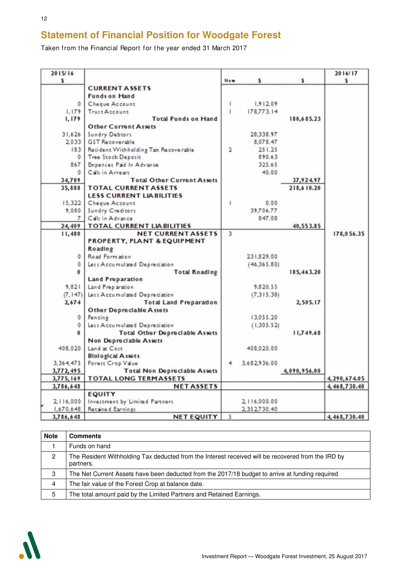## **Statement of Financial Position for Woodgate Forest**

Taken from the Financial Report for the year ended 31 March 2017

| 2015/16<br>s   |                                       | Now          | s             | s            | 2016/17<br>s |
|----------------|---------------------------------------|--------------|---------------|--------------|--------------|
|                | <b>CURRENT ASSETS</b>                 |              |               |              |              |
|                | <b>Funds on Hand</b>                  |              |               |              |              |
| 0              | Cheque Account                        |              | 1,912.09      |              |              |
| 1.179          | <b>TrustAccount</b>                   | $\mathbf{I}$ | 178,773.14    |              |              |
| 1,179          | <b>Total Funds on Hand</b>            |              |               | 180,685.23   |              |
|                | <b>Other Current Assets</b>           |              |               |              |              |
| 31,626         | Sundry Debtors                        |              | 28,338.97     |              |              |
| 2.033          | <b>GST Recoverable</b>                |              | 8,078.47      |              |              |
| 183            | Resident Withholding Tax Recoverable  | 2            | 251.25        |              |              |
| $^{\circ}$     | Tree Stock Deposit                    |              | 890.63        |              |              |
| 867            | Expenses Paid In Advance              |              | 325.65        |              |              |
| $\Omega$       | Calls in Arrears                      |              | 40.00         |              |              |
| 34,709         | <b>Total Other Current Assets</b>     |              |               | 37,924.97    |              |
| 35,888         | <b>TOTAL CURRENT ASSETS</b>           |              |               | 218,610.20   |              |
|                | <b>LESS CURRENT LIABILITIES</b>       |              |               |              |              |
| 15,322         | Cheque Account                        | 1            | 0.00          |              |              |
| 9,080          | Sundry Creditors                      |              | 39,706.77     |              |              |
| $\overline{7}$ | Calls in Advance                      |              | 847.08        |              |              |
| 24,409         | TOTAL CURRENT LIABILITIES             |              |               | 40,553.85    |              |
| 11,480         | <b>NET CURRENT ASSETS</b>             | 3            |               |              | 178,056.35   |
|                | PROPERTY, PLANT & EQUIPMENT           |              |               |              |              |
|                | Roading                               |              |               |              |              |
| 0              | Road Formation                        |              | 231,829.00    |              |              |
| $\Omega$       | Less Accumulated Depreciation         |              | (46, 365, 80) |              |              |
| $\Omega$       | <b>Total Roading</b>                  |              |               | 185,463.20   |              |
|                | <b>Land Preparation</b>               |              |               |              |              |
| 9.821          | Land Preparation                      |              | 9,820.55      |              |              |
| (7, 147)       | Less Accumulated Depreciation         |              | (7, 315, 38)  |              |              |
| 2.674          | <b>Total Land Preparation</b>         |              |               | 2,505.17     |              |
|                | <b>Other Depreciable Assets</b>       |              |               |              |              |
| O.             | Fencing                               |              | 13,055.20     |              |              |
| $\alpha$       | Less Accumulated Depreciation         |              | (1, 305, 52)  |              |              |
| $\mathbf{a}$   | <b>Total Other Depreciable Assets</b> |              |               | 11,749.68    |              |
|                | Non Depreciable Assets                |              |               |              |              |
| 408,020        | Land at Cost                          |              | 408,020.00    |              |              |
|                | <b>Biological Assets</b>              |              |               |              |              |
| 3, 364, 475    | Forest Crop Value                     | 4            | 3,682,936.00  |              |              |
| 3,772,495      | <b>Total Non Depreciable Assets</b>   |              |               | 4,090,956.00 |              |
| 3,775,169      | <b>TOTAL LONG TERMASSETS</b>          |              |               |              | 4,290,674.05 |
| 3,786,648      | <b>NETASSETS</b>                      |              |               |              | 4,468,730.40 |
|                | <b>EQUITY</b>                         |              |               |              |              |
| 2,116,000      | Investment by Limited Partners        |              | 2,116,000.00  |              |              |
| 1,670,648      | Retained Earnings                     |              | 2,352,730.40  |              |              |
| 3,786,648      | <b>NET EQUITY</b>                     | 5            |               |              | 4,468,730.40 |

| <b>Note</b> | <b>Comments</b>                                                                                                 |
|-------------|-----------------------------------------------------------------------------------------------------------------|
|             | Funds on hand                                                                                                   |
| 2           | The Resident Withholding Tax deducted from the Interest received will be recovered from the IRD by<br>partners. |
| 3           | The Net Current Assets have been deducted from the 2017/18 budget to arrive at funding required                 |
| 4           | The fair value of the Forest Crop at balance date.                                                              |
| 5           | The total amount paid by the Limited Partners and Retained Earnings.                                            |

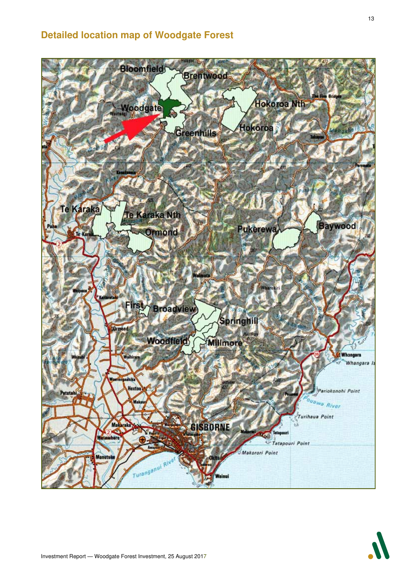## **Detailed location map of Woodgate Forest**

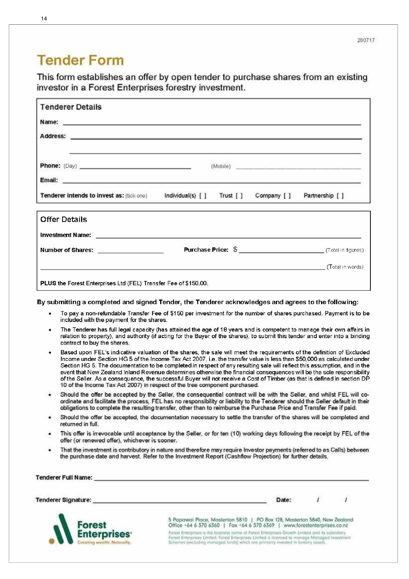## **Tender Form**

Tenderer Full Name:

This form establishes an offer by open tender to purchase shares from an existing investor in a Forest Enterprises forestry investment.

| <b>Tenderer Details</b>                                                                                                                                                                     |                                            |                                                      |  |  |  |  |  |
|---------------------------------------------------------------------------------------------------------------------------------------------------------------------------------------------|--------------------------------------------|------------------------------------------------------|--|--|--|--|--|
|                                                                                                                                                                                             |                                            |                                                      |  |  |  |  |  |
| Address: <b>Address: Address: Address: Address: Address: Address: Address: Address: Address: Address: Address: Address: Address: Address: Address: Address: Address: Address: Address: </b> |                                            |                                                      |  |  |  |  |  |
|                                                                                                                                                                                             |                                            |                                                      |  |  |  |  |  |
| <b>Phone:</b> (Day)                                                                                                                                                                         |                                            | (Mobile) <b>And All American Community Community</b> |  |  |  |  |  |
|                                                                                                                                                                                             |                                            |                                                      |  |  |  |  |  |
| Tenderer intends to invest as: (tick one)                                                                                                                                                   | Individual(s) [ ] Trust [ ]<br>Company [ ] | Partnership [ ]                                      |  |  |  |  |  |
| <b>Offer Details</b>                                                                                                                                                                        |                                            |                                                      |  |  |  |  |  |
|                                                                                                                                                                                             |                                            |                                                      |  |  |  |  |  |
|                                                                                                                                                                                             |                                            |                                                      |  |  |  |  |  |
| Number of Shares: <u>____________________</u>                                                                                                                                               |                                            |                                                      |  |  |  |  |  |
|                                                                                                                                                                                             |                                            | (Total in words)                                     |  |  |  |  |  |

#### By submitting a completed and signed Tender, the Tenderer acknowledges and agrees to the following:

- To pay a non-refundable Transfer Fee of \$150 per investment for the number of shares purchased. Payment is to be included with the payment for the shares.
- The Tenderer has full legal capacity (has attained the age of 18 years and is competent to manage their own affairs in relation to property), and authority (if acting for the Buyer of the shares), to submit this tender and enter into a binding contract to buy the shares.
- Based upon FEL's indicative valuation of the shares, the sale will meet the requirements of the definition of Excluded Income under Section HG 5 of the Income Tax Act 2007, i.e. the transfer value is less than \$50,000 as calculated under Section HG 5. The documentation to be completed in respect of any resulting sale will reflect this assumption, and in the event that New Zealand Inland Revenue determines otherwise the financial consequences will be the sole responsibility of the Seller. As a consequence, the successful Buyer will not receive a Cost of Timber (as that is defined in section DP 10 of the Income Tax Act 2007) in respect of the tree component purchased.
- Should the offer be accepted by the Seller, the consequential contract will be with the Seller, and whilst FEL will coordinate and facilitate the process, FEL has no responsibility or liability to the Tenderer should the Seller default in their obligations to complete the resulting transfer, other than to reimburse the Purchase Price and Transfer Fee if paid.
- Should the offer be accepted, the documentation necessary to settle the transfer of the shares will be completed and returned in full.
- This offer is irrevocable until acceptance by the Seller, or for ten (10) working days following the receipt by FEL of the offer (or renewed offer), whichever is sooner.
- That the investment is contributory in nature and therefore may require Investor payments (referred to as Calls) between the purchase date and harvest. Refer to the Investment Report (Cashflow Projection) for further details.

| A ROBOT CONTROL OF THE SECOND APPLICATION CARDS AT A STRUCTURE OF A STRUCTURE OF A |                                                                                                                                                                                                                                                                                           |
|------------------------------------------------------------------------------------|-------------------------------------------------------------------------------------------------------------------------------------------------------------------------------------------------------------------------------------------------------------------------------------------|
| Tenderer Signature:                                                                | Date:                                                                                                                                                                                                                                                                                     |
| <b>Forest</b>                                                                      | 5 Papawai Place, Masterton 5810   PO Box 128, Masterton 5840, New Zealand<br>Office +64 6 370 6360   Fax +64 6 370 6369   www.forestenterprises.co.nz                                                                                                                                     |
| <b>Enterprises</b><br>Creating wealth. Naturally.                                  | Forest Enterprises is the business nome of Forest Enterprises Growth Limited and its subsidiary.<br>Forest Enterprises Limited, Forest Enterprises Limited is licenced to manage Managed Investment<br>Schemes (excluding managed funds) which are primarily invested in forestry assets. |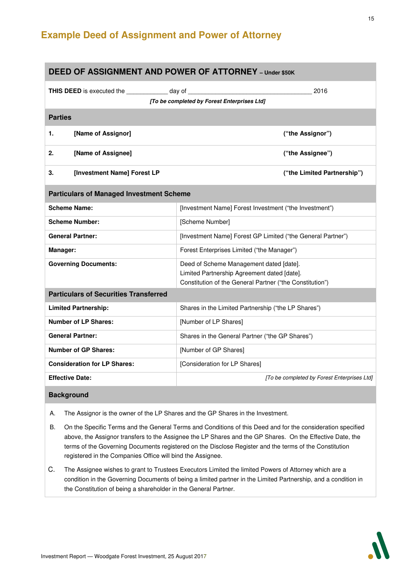## **Example Deed of Assignment and Power of Attorney**

| <b>DEED OF ASSIGNMENT AND POWER OF ATTORNEY - Under \$50K</b>                           |                                                                                                                                                    |  |  |
|-----------------------------------------------------------------------------------------|----------------------------------------------------------------------------------------------------------------------------------------------------|--|--|
| <b>THIS DEED</b> is executed the _______________ day of _______________________________ | 2016                                                                                                                                               |  |  |
| [To be completed by Forest Enterprises Ltd]                                             |                                                                                                                                                    |  |  |
| <b>Parties</b>                                                                          |                                                                                                                                                    |  |  |
| [Name of Assignor]<br>1.                                                                | ("the Assignor")                                                                                                                                   |  |  |
| [Name of Assignee]<br>2.                                                                | ("the Assignee")                                                                                                                                   |  |  |
| [Investment Name] Forest LP<br>3.                                                       | ("the Limited Partnership")                                                                                                                        |  |  |
| <b>Particulars of Managed Investment Scheme</b>                                         |                                                                                                                                                    |  |  |
| <b>Scheme Name:</b>                                                                     | [Investment Name] Forest Investment ("the Investment")                                                                                             |  |  |
| <b>Scheme Number:</b>                                                                   | [Scheme Number]                                                                                                                                    |  |  |
| <b>General Partner:</b>                                                                 | [Investment Name] Forest GP Limited ("the General Partner")                                                                                        |  |  |
| Manager:                                                                                | Forest Enterprises Limited ("the Manager")                                                                                                         |  |  |
| <b>Governing Documents:</b>                                                             | Deed of Scheme Management dated [date].<br>Limited Partnership Agreement dated [date].<br>Constitution of the General Partner ("the Constitution") |  |  |
| <b>Particulars of Securities Transferred</b>                                            |                                                                                                                                                    |  |  |
| <b>Limited Partnership:</b>                                                             | Shares in the Limited Partnership ("the LP Shares")                                                                                                |  |  |
| <b>Number of LP Shares:</b>                                                             | [Number of LP Shares]                                                                                                                              |  |  |
| <b>General Partner:</b>                                                                 | Shares in the General Partner ("the GP Shares")                                                                                                    |  |  |
| <b>Number of GP Shares:</b>                                                             | [Number of GP Shares]                                                                                                                              |  |  |
| <b>Consideration for LP Shares:</b>                                                     | [Consideration for LP Shares]                                                                                                                      |  |  |
| <b>Effective Date:</b>                                                                  | [To be completed by Forest Enterprises Ltd]                                                                                                        |  |  |
| <b>Background</b>                                                                       |                                                                                                                                                    |  |  |

- A. The Assignor is the owner of the LP Shares and the GP Shares in the Investment.
- B. On the Specific Terms and the General Terms and Conditions of this Deed and for the consideration specified above, the Assignor transfers to the Assignee the LP Shares and the GP Shares. On the Effective Date, the terms of the Governing Documents registered on the Disclose Register and the terms of the Constitution registered in the Companies Office will bind the Assignee.
- C. The Assignee wishes to grant to Trustees Executors Limited the limited Powers of Attorney which are a condition in the Governing Documents of being a limited partner in the Limited Partnership, and a condition in the Constitution of being a shareholder in the General Partner.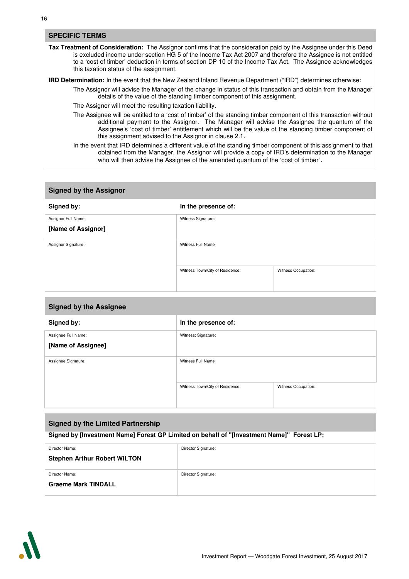#### **SPECIFIC TERMS**

**Tax Treatment of Consideration:** The Assignor confirms that the consideration paid by the Assignee under this Deed is excluded income under section HG 5 of the Income Tax Act 2007 and therefore the Assignee is not entitled to a 'cost of timber' deduction in terms of section DP 10 of the Income Tax Act. The Assignee acknowledges this taxation status of the assignment.

**IRD Determination:** In the event that the New Zealand Inland Revenue Department ("IRD") determines otherwise:

The Assignor will advise the Manager of the change in status of this transaction and obtain from the Manager details of the value of the standing timber component of this assignment.

The Assignor will meet the resulting taxation liability.

The Assignee will be entitled to a 'cost of timber' of the standing timber component of this transaction without additional payment to the Assignor. The Manager will advise the Assignee the quantum of the Assignee's 'cost of timber' entitlement which will be the value of the standing timber component of this assignment advised to the Assignor in clause 2.1.

In the event that IRD determines a different value of the standing timber component of this assignment to that obtained from the Manager, the Assignor will provide a copy of IRD's determination to the Manager who will then advise the Assignee of the amended quantum of the 'cost of timber".

#### **Signed by the Assignor**

| Signed by:          | In the presence of:             |                     |
|---------------------|---------------------------------|---------------------|
| Assignor Full Name: | Witness Signature:              |                     |
| [Name of Assignor]  |                                 |                     |
| Assignor Signature: | Witness Full Name               |                     |
|                     | Witness Town/City of Residence: | Witness Occupation: |

| <b>Signed by the Assignee</b> |                                 |                     |
|-------------------------------|---------------------------------|---------------------|
| Signed by:                    | In the presence of:             |                     |
| Assignee Full Name:           | Witness: Signature:             |                     |
| [Name of Assignee]            |                                 |                     |
| Assignee Signature:           | Witness Full Name               |                     |
|                               | Witness Town/City of Residence: | Witness Occupation: |

| <b>Signed by the Limited Partnership</b>                                                  |                     |  |
|-------------------------------------------------------------------------------------------|---------------------|--|
| Signed by [Investment Name] Forest GP Limited on behalf of "[Investment Name]" Forest LP: |                     |  |
| Director Name:                                                                            | Director Signature: |  |
| <b>Stephen Arthur Robert WILTON</b>                                                       |                     |  |
| Director Name:                                                                            | Director Signature: |  |
| <b>Graeme Mark TINDALL</b>                                                                |                     |  |

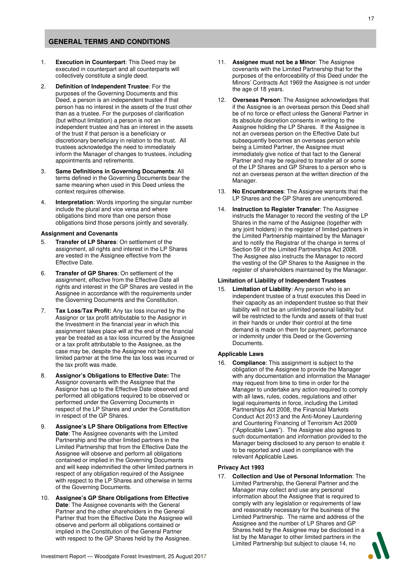#### **GENERAL TERMS AND CONDITIONS**

- 1. **Execution in Counterpart**: This Deed may be executed in counterpart and all counterparts will collectively constitute a single deed.
- 2. **Definition of Independent Trustee**: For the purposes of the Governing Documents and this Deed, a person is an independent trustee if that person has no interest in the assets of the trust other than as a trustee. For the purposes of clarification (but without limitation) a person is not an independent trustee and has an interest in the assets of the trust if that person is a beneficiary or discretionary beneficiary in relation to the trust. All trustees acknowledge the need to immediately inform the Manager of changes to trustees, including appointments and retirements.
- 3. **Same Definitions in Governing Documents**: All terms defined in the Governing Documents bear the same meaning when used in this Deed unless the context requires otherwise.
- 4. **Interpretation**: Words importing the singular number include the plural and vice versa and where obligations bind more than one person those obligations bind those persons jointly and severally.

#### **Assignment and Covenants**

- 5. **Transfer of LP Shares**: On settlement of the assignment, all rights and interest in the LP Shares are vested in the Assignee effective from the Effective Date.
- 6. **Transfer of GP Shares**: On settlement of the assignment, effective from the Effective Date all rights and interest in the GP Shares are vested in the Assignee in accordance with the requirements under the Governing Documents and the Constitution.
- 7. **Tax Loss/Tax Profit:** Any tax loss incurred by the Assignor or tax profit attributable to the Assignor in the Investment in the financial year in which this assignment takes place will at the end of the financial year be treated as a tax loss incurred by the Assignee or a tax profit attributable to the Assignee, as the case may be, despite the Assignee not being a limited partner at the time the tax loss was incurred or the tax profit was made.
- 8. **Assignor's Obligations to Effective Date:** The Assignor covenants with the Assignee that the Assignor has up to the Effective Date observed and performed all obligations required to be observed or performed under the Governing Documents in respect of the LP Shares and under the Constitution in respect of the GP Shares.
- 9. **Assignee's LP Share Obligations from Effective Date**: The Assignee covenants with the Limited Partnership and the other limited partners in the Limited Partnership that from the Effective Date the Assignee will observe and perform all obligations contained or implied in the Governing Documents and will keep indemnified the other limited partners in respect of any obligation required of the Assignee with respect to the LP Shares and otherwise in terms of the Governing Documents.
- 10. **Assignee's GP Share Obligations from Effective Date**: The Assignee covenants with the General Partner and the other shareholders in the General Partner that from the Effective Date the Assignee will observe and perform all obligations contained or implied in the Constitution of the General Partner with respect to the GP Shares held by the Assignee.
- 11. **Assignee must not be a Minor**: The Assignee covenants with the Limited Partnership that for the purposes of the enforceability of this Deed under the Minors' Contracts Act 1969 the Assignee is not under the age of 18 years.
- 12. **Overseas Person**: The Assignee acknowledges that if the Assignee is an overseas person this Deed shall be of no force or effect unless the General Partner in its absolute discretion consents in writing to the Assignee holding the LP Shares. If the Assignee is not an overseas person on the Effective Date but subsequently becomes an overseas person while being a Limited Partner, the Assignee must immediately give notice of that fact to the General Partner and may be required to transfer all or some of the LP Shares and GP Shares to a person who is not an overseas person at the written direction of the Manager.
- 13. **No Encumbrances**: The Assignee warrants that the LP Shares and the GP Shares are unencumbered.
- 14. **Instruction to Register Transfer**: The Assignee instructs the Manager to record the vesting of the LP Shares in the name of the Assignee (together with any joint holders) in the register of limited partners in the Limited Partnership maintained by the Manager and to notify the Registrar of the change in terms of Section 59 of the Limited Partnerships Act 2008. The Assignee also instructs the Manager to record the vesting of the GP Shares to the Assignee in the register of shareholders maintained by the Manager.

#### **Limitation of Liability of Independent Trustees**

15. **Limitation of Liability**: Any person who is an independent trustee of a trust executes this Deed in their capacity as an independent trustee so that their liability will not be an unlimited personal liability but will be restricted to the funds and assets of that trust in their hands or under their control at the time demand is made on them for payment, performance or indemnity under this Deed or the Governing Documents.

#### **Applicable Laws**

16. **Compliance**: This assignment is subject to the obligation of the Assignee to provide the Manager with any documentation and information the Manager may request from time to time in order for the Manager to undertake any action required to comply with all laws, rules, codes, regulations and other legal requirements in force, including the Limited Partnerships Act 2008, the Financial Markets Conduct Act 2013 and the Anti-Money Laundering and Countering Financing of Terrorism Act 2009 ("Applicable Laws"). The Assignee also agrees to such documentation and information provided to the Manager being disclosed to any person to enable it to be reported and used in compliance with the relevant Applicable Laws.

#### **Privacy Act 1993**

17. **Collection and Use of Personal Information**: The Limited Partnership, the General Partner and the Manager may collect and use any personal information about the Assignee that is required to comply with any legislation or requirements of law and reasonably necessary for the business of the Limited Partnership. The name and address of the Assignee and the number of LP Shares and GP Shares held by the Assignee may be disclosed in a list by the Manager to other limited partners in the Limited Partnership but subject to clause 14, no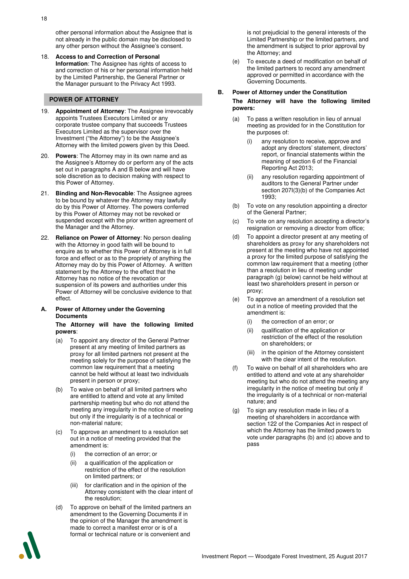other personal information about the Assignee that is not already in the public domain may be disclosed to any other person without the Assignee's consent.

18. **Access to and Correction of Personal Information**: The Assignee has rights of access to and correction of his or her personal information held by the Limited Partnership, the General Partner or the Manager pursuant to the Privacy Act 1993.

#### **POWER OF ATTORNEY**

- 19. **Appointment of Attorney**: The Assignee irrevocably appoints Trustees Executors Limited or any corporate trustee company that succeeds Trustees Executors Limited as the supervisor over the Investment ("the Attorney") to be the Assignee's Attorney with the limited powers given by this Deed.
- 20. **Powers**: The Attorney may in its own name and as the Assignee's Attorney do or perform any of the acts set out in paragraphs A and B below and will have sole discretion as to decision making with respect to this Power of Attorney.
- 21. **Binding and Non-Revocable**: The Assignee agrees to be bound by whatever the Attorney may lawfully do by this Power of Attorney. The powers conferred by this Power of Attorney may not be revoked or suspended except with the prior written agreement of the Manager and the Attorney.
- 22. **Reliance on Power of Attorney**: No person dealing with the Attorney in good faith will be bound to enquire as to whether this Power of Attorney is in full force and effect or as to the propriety of anything the Attorney may do by this Power of Attorney. A written statement by the Attorney to the effect that the Attorney has no notice of the revocation or suspension of its powers and authorities under this Power of Attorney will be conclusive evidence to that effect.
- **A. Power of Attorney under the Governing Documents**

#### **The Attorney will have the following limited powers**:

- (a) To appoint any director of the General Partner present at any meeting of limited partners as proxy for all limited partners not present at the meeting solely for the purpose of satisfying the common law requirement that a meeting cannot be held without at least two individuals present in person or proxy;
- (b) To waive on behalf of all limited partners who are entitled to attend and vote at any limited partnership meeting but who do not attend the meeting any irregularity in the notice of meeting but only if the irregularity is of a technical or non-material nature;
- (c) To approve an amendment to a resolution set out in a notice of meeting provided that the amendment is:
	- (i) the correction of an error; or
	- (ii) a qualification of the application or restriction of the effect of the resolution on limited partners; or
	- (iii) for clarification and in the opinion of the Attorney consistent with the clear intent of the resolution;
- (d) To approve on behalf of the limited partners an amendment to the Governing Documents if in the opinion of the Manager the amendment is made to correct a manifest error or is of a formal or technical nature or is convenient and

is not prejudicial to the general interests of the Limited Partnership or the limited partners, and the amendment is subject to prior approval by the Attorney; and

(e) To execute a deed of modification on behalf of the limited partners to record any amendment approved or permitted in accordance with the Governing Documents.

#### **B. Power of Attorney under the Constitution**

#### **The Attorney will have the following limited powers:**

- (a) To pass a written resolution in lieu of annual meeting as provided for in the Constitution for the purposes of:
	- (i) any resolution to receive, approve and adopt any directors' statement, directors' report, or financial statements within the meaning of section 6 of the Financial Reporting Act 2013;
	- (ii) any resolution regarding appointment of auditors to the General Partner under section 207I(3)(b) of the Companies Act 1993;
- (b) To vote on any resolution appointing a director of the General Partner;
- (c) To vote on any resolution accepting a director's resignation or removing a director from office;
- (d) To appoint a director present at any meeting of shareholders as proxy for any shareholders not present at the meeting who have not appointed a proxy for the limited purpose of satisfying the common law requirement that a meeting (other than a resolution in lieu of meeting under paragraph (g) below) cannot be held without at least two shareholders present in person or proxy;
- (e) To approve an amendment of a resolution set out in a notice of meeting provided that the amendment is:
	- (i) the correction of an error; or
	- (ii) qualification of the application or restriction of the effect of the resolution on shareholders; or
	- (iii) in the opinion of the Attorney consistent with the clear intent of the resolution.
- (f) To waive on behalf of all shareholders who are entitled to attend and vote at any shareholder meeting but who do not attend the meeting any irregularity in the notice of meeting but only if the irregularity is of a technical or non-material nature; and
- (g) To sign any resolution made in lieu of a meeting of shareholders in accordance with section 122 of the Companies Act in respect of which the Attorney has the limited powers to vote under paragraphs (b) and (c) above and to pass

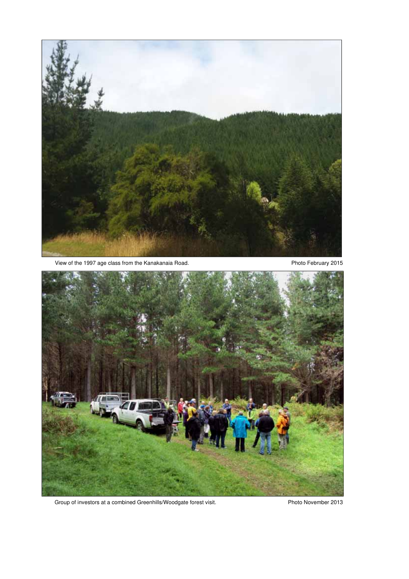

View of the 1997 age class from the Kanakanaia Road. Photo February 2015



Group of investors at a combined Greenhills/Woodgate forest visit. Photo November 2013